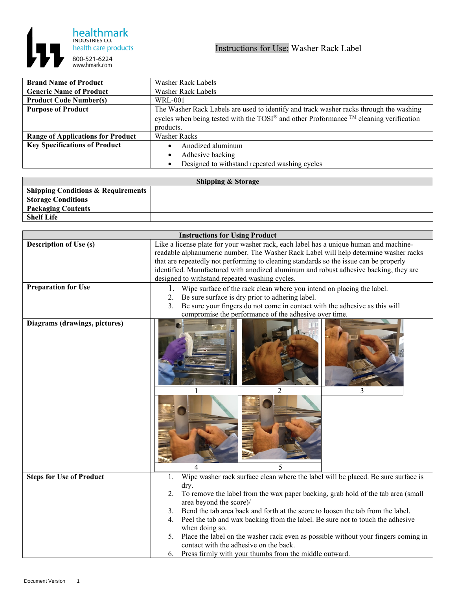

| <b>Brand Name of Product</b>             | Washer Rack Labels                                                                                            |
|------------------------------------------|---------------------------------------------------------------------------------------------------------------|
| <b>Generic Name of Product</b>           | Washer Rack Labels                                                                                            |
| <b>Product Code Number(s)</b>            | WRL-001                                                                                                       |
| <b>Purpose of Product</b>                | The Washer Rack Labels are used to identify and track washer racks through the washing                        |
|                                          | cycles when being tested with the TOSI <sup>®</sup> and other Proformance <sup>TM</sup> cleaning verification |
|                                          | products.                                                                                                     |
| <b>Range of Applications for Product</b> | <b>Washer Racks</b>                                                                                           |
| <b>Key Specifications of Product</b>     | Anodized aluminum                                                                                             |
|                                          | Adhesive backing                                                                                              |
|                                          | Designed to withstand repeated washing cycles                                                                 |

| <b>Shipping &amp; Storage</b>                 |  |  |
|-----------------------------------------------|--|--|
| <b>Shipping Conditions &amp; Requirements</b> |  |  |
| <b>Storage Conditions</b>                     |  |  |
| <b>Packaging Contents</b>                     |  |  |
| <b>Shelf Life</b>                             |  |  |
|                                               |  |  |

| <b>Instructions for Using Product</b> |                                                                                                                   |
|---------------------------------------|-------------------------------------------------------------------------------------------------------------------|
| <b>Description of Use (s)</b>         | Like a license plate for your washer rack, each label has a unique human and machine-                             |
|                                       | readable alphanumeric number. The Washer Rack Label will help determine washer racks                              |
|                                       | that are repeatedly not performing to cleaning standards so the issue can be properly                             |
|                                       | identified. Manufactured with anodized aluminum and robust adhesive backing, they are                             |
|                                       | designed to withstand repeated washing cycles.                                                                    |
| <b>Preparation for Use</b>            | Wipe surface of the rack clean where you intend on placing the label.                                             |
|                                       | Be sure surface is dry prior to adhering label.<br>2.                                                             |
|                                       | Be sure your fingers do not come in contact with the adhesive as this will<br>3.                                  |
|                                       | compromise the performance of the adhesive over time.                                                             |
| Diagrams (drawings, pictures)         | $\overline{2}$<br>3<br>5                                                                                          |
| <b>Steps for Use of Product</b>       | Wipe washer rack surface clean where the label will be placed. Be sure surface is<br>1.                           |
|                                       | dry.                                                                                                              |
|                                       | To remove the label from the wax paper backing, grab hold of the tab area (small<br>2.<br>area beyond the score)/ |
|                                       | Bend the tab area back and forth at the score to loosen the tab from the label.<br>3.                             |
|                                       | Peel the tab and wax backing from the label. Be sure not to touch the adhesive<br>4.                              |
|                                       | when doing so.                                                                                                    |
|                                       | Place the label on the washer rack even as possible without your fingers coming in<br>5.                          |
|                                       | contact with the adhesive on the back.                                                                            |
|                                       | Press firmly with your thumbs from the middle outward.<br>6.                                                      |